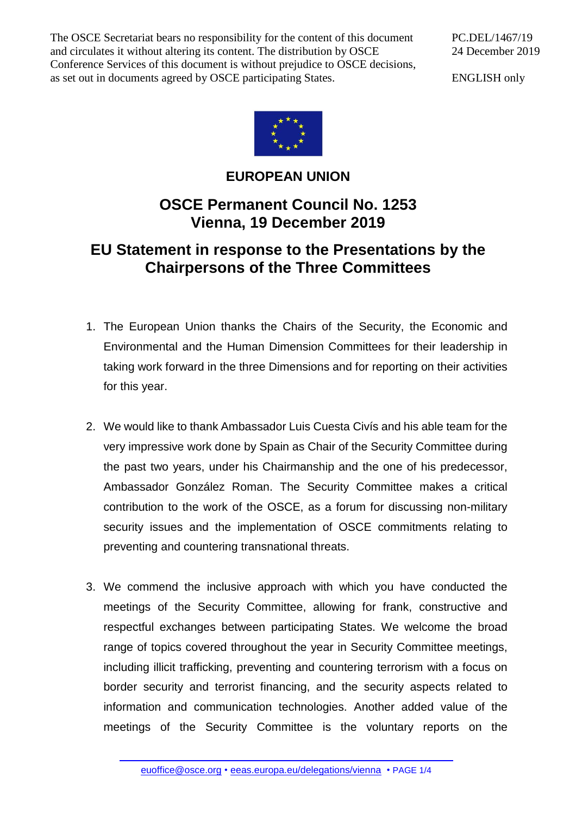The OSCE Secretariat bears no responsibility for the content of this document and circulates it without altering its content. The distribution by OSCE Conference Services of this document is without prejudice to OSCE decisions, as set out in documents agreed by OSCE participating States.

PC.DEL/1467/19 24 December 2019

ENGLISH only



## **EUROPEAN UNION**

## **OSCE Permanent Council No. 1253 Vienna, 19 December 2019**

## **EU Statement in response to the Presentations by the Chairpersons of the Three Committees**

- 1. The European Union thanks the Chairs of the Security, the Economic and Environmental and the Human Dimension Committees for their leadership in taking work forward in the three Dimensions and for reporting on their activities for this year.
- 2. We would like to thank Ambassador Luis Cuesta Civís and his able team for the very impressive work done by Spain as Chair of the Security Committee during the past two years, under his Chairmanship and the one of his predecessor, Ambassador González Roman. The Security Committee makes a critical contribution to the work of the OSCE, as a forum for discussing non-military security issues and the implementation of OSCE commitments relating to preventing and countering transnational threats.
- 3. We commend the inclusive approach with which you have conducted the meetings of the Security Committee, allowing for frank, constructive and respectful exchanges between participating States. We welcome the broad range of topics covered throughout the year in Security Committee meetings, including illicit trafficking, preventing and countering terrorism with a focus on border security and terrorist financing, and the security aspects related to information and communication technologies. Another added value of the meetings of the Security Committee is the voluntary reports on the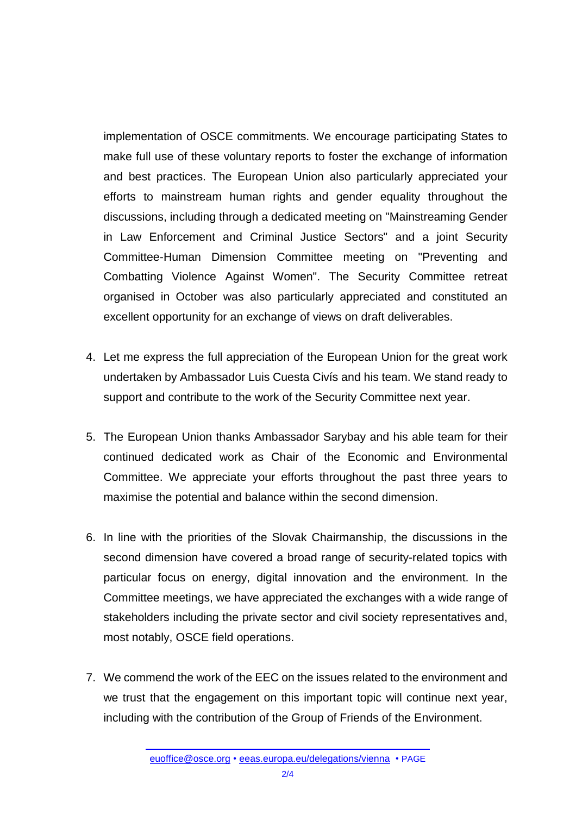implementation of OSCE commitments. We encourage participating States to make full use of these voluntary reports to foster the exchange of information and best practices. The European Union also particularly appreciated your efforts to mainstream human rights and gender equality throughout the discussions, including through a dedicated meeting on "Mainstreaming Gender in Law Enforcement and Criminal Justice Sectors" and a joint Security Committee-Human Dimension Committee meeting on "Preventing and Combatting Violence Against Women". The Security Committee retreat organised in October was also particularly appreciated and constituted an excellent opportunity for an exchange of views on draft deliverables.

- 4. Let me express the full appreciation of the European Union for the great work undertaken by Ambassador Luis Cuesta Civís and his team. We stand ready to support and contribute to the work of the Security Committee next year.
- 5. The European Union thanks Ambassador Sarybay and his able team for their continued dedicated work as Chair of the Economic and Environmental Committee. We appreciate your efforts throughout the past three years to maximise the potential and balance within the second dimension.
- 6. In line with the priorities of the Slovak Chairmanship, the discussions in the second dimension have covered a broad range of security-related topics with particular focus on energy, digital innovation and the environment. In the Committee meetings, we have appreciated the exchanges with a wide range of stakeholders including the private sector and civil society representatives and, most notably, OSCE field operations.
- 7. We commend the work of the EEC on the issues related to the environment and we trust that the engagement on this important topic will continue next year, including with the contribution of the Group of Friends of the Environment.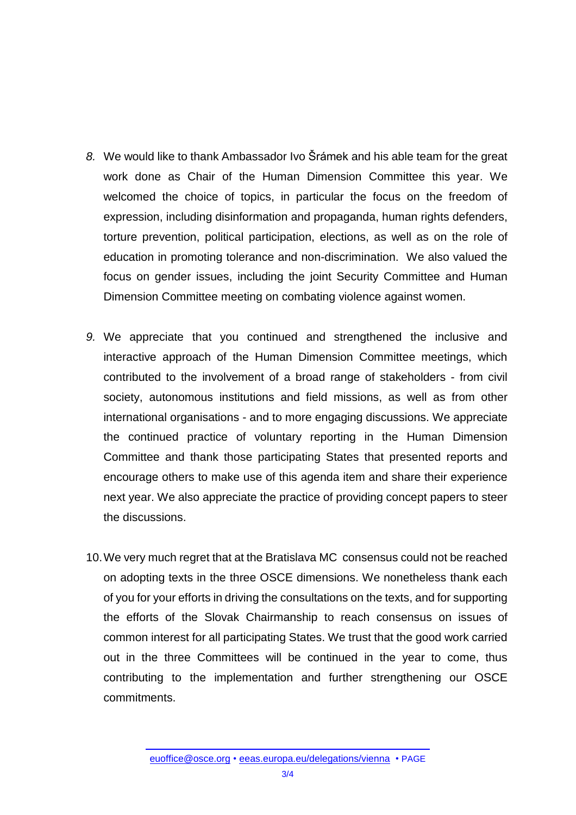- *8.* We would like to thank Ambassador Ivo Šrámek and his able team for the great work done as Chair of the Human Dimension Committee this year. We welcomed the choice of topics, in particular the focus on the freedom of expression, including disinformation and propaganda, human rights defenders, torture prevention, political participation, elections, as well as on the role of education in promoting tolerance and non-discrimination. We also valued the focus on gender issues, including the joint Security Committee and Human Dimension Committee meeting on combating violence against women.
- *9.* We appreciate that you continued and strengthened the inclusive and interactive approach of the Human Dimension Committee meetings, which contributed to the involvement of a broad range of stakeholders - from civil society, autonomous institutions and field missions, as well as from other international organisations - and to more engaging discussions. We appreciate the continued practice of voluntary reporting in the Human Dimension Committee and thank those participating States that presented reports and encourage others to make use of this agenda item and share their experience next year. We also appreciate the practice of providing concept papers to steer the discussions.
- 10.We very much regret that at the Bratislava MC consensus could not be reached on adopting texts in the three OSCE dimensions. We nonetheless thank each of you for your efforts in driving the consultations on the texts, and for supporting the efforts of the Slovak Chairmanship to reach consensus on issues of common interest for all participating States. We trust that the good work carried out in the three Committees will be continued in the year to come, thus contributing to the implementation and further strengthening our OSCE commitments.